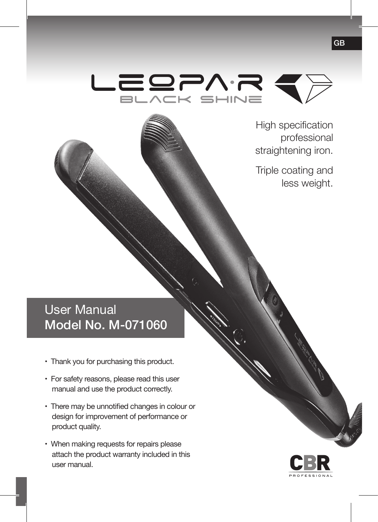

High specification professional straightening iron.

Triple coating and less weight.

# User Manual Model No. M-071060

- Thank you for purchasing this product.
- For safety reasons, please read this user manual and use the product correctly.
- There may be unnotified changes in colour or design for improvement of performance or product quality.
- When making requests for repairs please attach the product warranty included in this user manual.

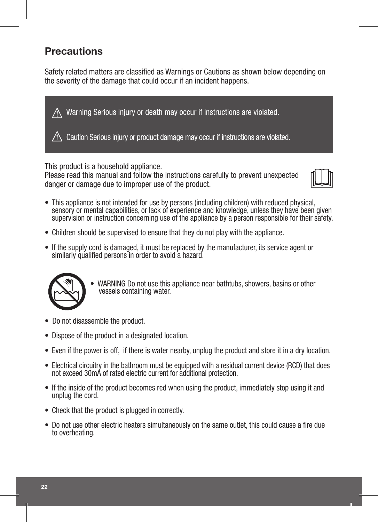# **Precautions**

Safety related matters are classified as Warnings or Cautions as shown below depending on the severity of the damage that could occur if an incident happens.



This product is a household appliance.

Please read this manual and follow the instructions carefully to prevent unexpected danger or damage due to improper use of the product.



- This appliance is not intended for use by persons (including children) with reduced physical, sensory or mental capabilities, or lack of experience and knowledge, unless they have been given supervision or instruction concerning use of the appliance by a person responsible for their safety.
- Children should be supervised to ensure that they do not play with the appliance.
- If the supply cord is damaged, it must be replaced by the manufacturer, its service agent or similarly qualified persons in order to avoid a hazard.



- WARNING Do not use this appliance near bathtubs, showers, basins or other vessels containing water.
- Do not disassemble the product.
- Dispose of the product in a designated location.
- Even if the power is off, if there is water nearby, unplug the product and store it in a dry location.
- Electrical circuitry in the bathroom must be equipped with a residual current device (RCD) that does not exceed 30mA of rated electric current for additional protection.
- If the inside of the product becomes red when using the product, immediately stop using it and unplug the cord.
- Check that the product is plugged in correctly.
- Do not use other electric heaters simultaneously on the same outlet, this could cause a fire due to overheating.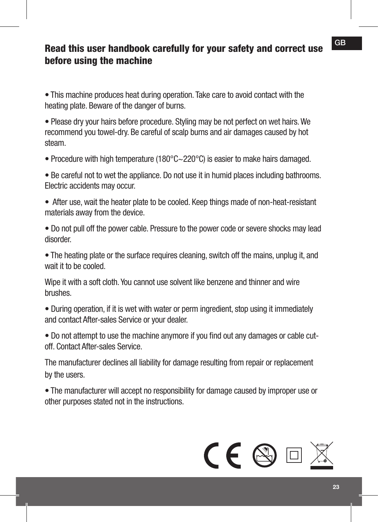# Read this user handbook carefully for your safety and correct use before using the machine

• This machine produces heat during operation. Take care to avoid contact with the heating plate. Beware of the danger of burns.

• Please dry your hairs before procedure. Styling may be not perfect on wet hairs. We recommend you towel-dry. Be careful of scalp burns and air damages caused by hot steam.

• Procedure with high temperature (180°C~220°C) is easier to make hairs damaged.

• Be careful not to wet the appliance. Do not use it in humid places including bathrooms. Electric accidents may occur.

• After use, wait the heater plate to be cooled. Keep things made of non-heat-resistant materials away from the device.

• Do not pull off the power cable. Pressure to the power code or severe shocks may lead disorder.

• The heating plate or the surface requires cleaning, switch off the mains, unplug it, and wait it to be cooled.

Wipe it with a soft cloth. You cannot use solvent like benzene and thinner and wire brushes.

• During operation, if it is wet with water or perm ingredient, stop using it immediately and contact After-sales Service or your dealer.

• Do not attempt to use the machine anymore if you find out any damages or cable cutoff. Contact After-sales Service.

The manufacturer declines all liability for damage resulting from repair or replacement by the users.

• The manufacturer will accept no responsibility for damage caused by improper use or other purposes stated not in the instructions.

# **CE 图**回图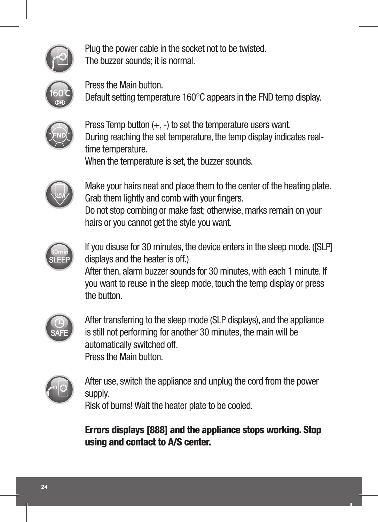

Plug the power cable in the socket not to be twisted. The buzzer sounds; it is normal.



Press the Main button. Default setting temperature 160°C appears in the FND temp display.



Press Temp button (+, -) to set the temperature users want. During reaching the set temperature, the temp display indicates realtime temperature. When the temperature is set, the buzzer sounds.



Make your hairs neat and place them to the center of the heating plate. Grab them lightly and comb with your fingers. Do not stop combing or make fast; otherwise, marks remain on your hairs or you cannot get the style you want.



If you disuse for 30 minutes, the device enters in the sleep mode. ([SLP] displays and the heater is off.) After then, alarm buzzer sounds for 30 minutes, with each 1 minute. If

you want to reuse in the sleep mode, touch the temp display or press the button



After transferring to the sleep mode (SLP displays), and the appliance is still not performing for another 30 minutes, the main will be automatically switched off. Press the Main button.



After use, switch the appliance and unplug the cord from the power supply.

Risk of burns! Wait the heater plate to be cooled.

Errors displays [888] and the appliance stops working. Stop using and contact to A/S center.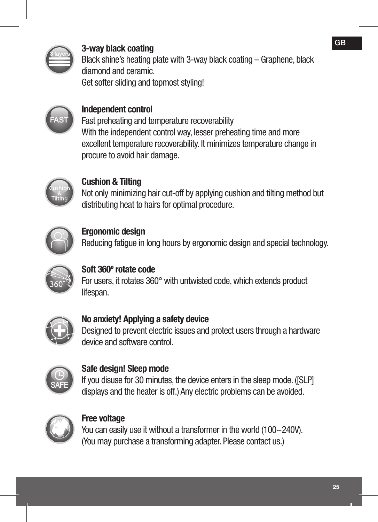

# 3-way black coating

Black shine's heating plate with 3-way black coating – Graphene, black diamond and ceramic. Get softer sliding and topmost styling!



## Independent control

Fast preheating and temperature recoverability With the independent control way, lesser preheating time and more excellent temperature recoverability. It minimizes temperature change in procure to avoid hair damage.



# Cushion & Tilting

Not only minimizing hair cut-off by applying cushion and tilting method but distributing heat to hairs for optimal procedure.



# Ergonomic design Reducing fatigue in long hours by ergonomic design and special technology.



#### Soft 360º rotate code For users, it rotates 360° with untwisted code, which extends product lifespan.



#### No anxiety! Applying a safety device Designed to prevent electric issues and protect users through a hardware device and software control.



#### Safe design! Sleep mode

If you disuse for 30 minutes, the device enters in the sleep mode. ([SLP] displays and the heater is off.) Any electric problems can be avoided.



#### Free voltage

You can easily use it without a transformer in the world (100~240V). (You may purchase a transforming adapter. Please contact us.)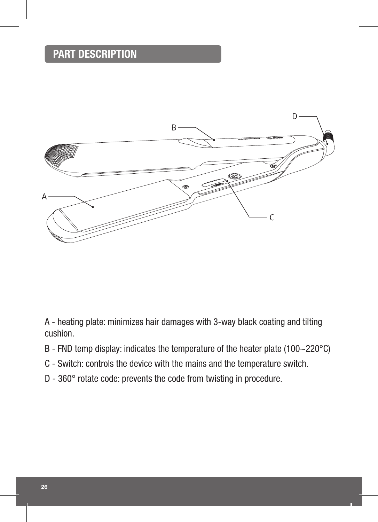# PART DESCRIPTION



A - heating plate: minimizes hair damages with 3-way black coating and tilting cushion.

- B FND temp display: indicates the temperature of the heater plate (100~220°C)
- C Switch: controls the device with the mains and the temperature switch.
- D 360° rotate code: prevents the code from twisting in procedure.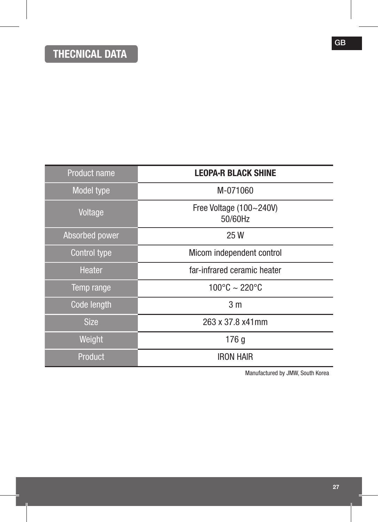| <b>Product name</b> | <b>LEOPA-R BLACK SHINE</b>         |
|---------------------|------------------------------------|
| Model type          | M-071060                           |
| Voltage             | Free Voltage (100~240V)<br>50/60Hz |
| Absorbed power      | 25 W                               |
| Control type        | Micom independent control          |
| Heater              | far-infrared ceramic heater        |
| Temp range          | $100^{\circ}$ C ~ 220 $^{\circ}$ C |
| Code length         | 3 <sub>m</sub>                     |
| <b>Size</b>         | 263 x 37.8 x41mm                   |
| Weight              | 176 g                              |
| Product             | <b>IRON HAIR</b>                   |

Manufactured by JMW, South Korea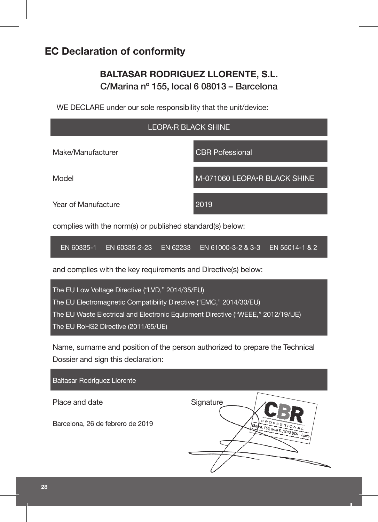# **EC Declaration of conformity**

## **BALTASAR RODRIGUEZ LLORENTE, S.L.** C/Marina nº 155, local 6 08013 – Barcelona

WE DECLARE under our sole responsibility that the unit/device:

# LEOPA·R BLACK SHINE Make/Manufacturer **CBR** Pofessional Model M-071060 LEOPA•R BLACK SHINE Year of Manufacture 2019

complies with the norm(s) or published standard(s) below:

EN 60335-1 EN 60335-2-23 EN 62233 EN 61000-3-2 & 3-3 EN 55014-1 & 2

and complies with the key requirements and Directive(s) below:



Name, surname and position of the person authorized to prepare the Technical Dossier and sign this declaration:

Baltasar Rodríguez Llorente

Place and date Signature

Barcelona, 26 de febrero de 2019